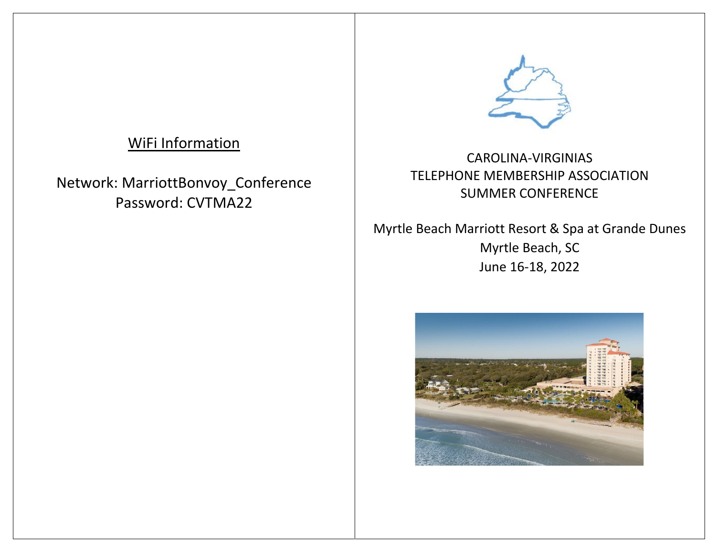# WiFi Information

Network: MarriottBonvoy\_Conference Password: CVTMA22



CAROLINA‐VIRGINIASTELEPHONE MEMBERSHIP ASSOCIATION SUMMER CONFERENCE

Myrtle Beach Marriott Resort & Spa at Grande Dunes Myrtle Beach, SC June 16‐18, 2022

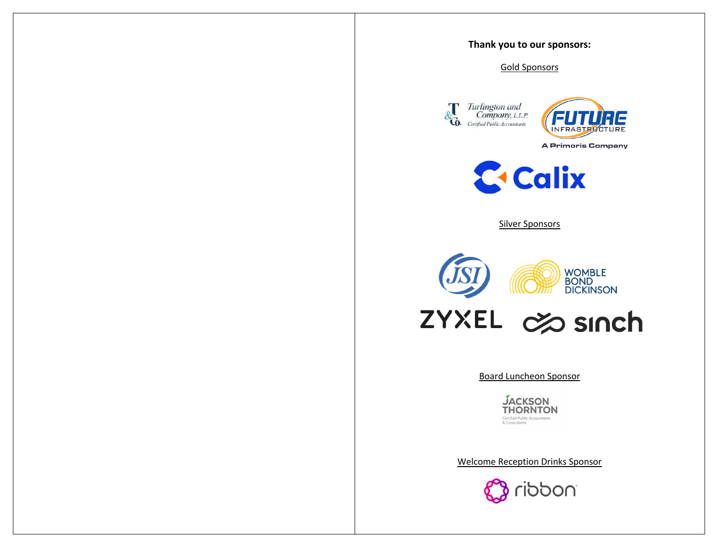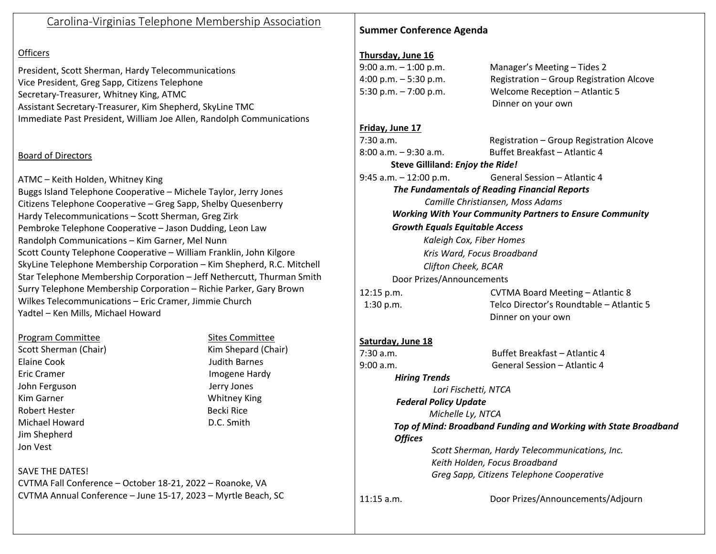# Carolina‐Virginias Telephone Membership Association

#### Officers

President, Scott Sherman, Hardy Telecommunications Vice President, Greg Sapp, Citizens Telephone Secretary‐Treasurer, Whitney King, ATMC Assistant Secretary‐Treasurer, Kim Shepherd, SkyLine TMC Immediate Past President, William Joe Allen, Randolph Communications

#### Board of Directors

ATMC – Keith Holden, Whitney King Buggs Island Telephone Cooperative – Michele Taylor, Jerry Jones Citizens Telephone Cooperative – Greg Sapp, Shelby Quesenberry Hardy Telecommunications – Scott Sherman, Greg Zirk Pembroke Telephone Cooperative – Jason Dudding, Leon Law Randolph Communications – Kim Garner, Mel Nunn Scott County Telephone Cooperative – William Franklin, John Kilgore SkyLine Telephone Membership Corporation – Kim Shepherd, R.C. Mitchell Star Telephone Membership Corporation – Jeff Nethercutt, Thurman Smith Surry Telephone Membership Corporation – Richie Parker, Gary Brown Wilkes Telecommunications – Eric Cramer, Jimmie Church Yadtel – Ken Mills, Michael Howard

#### Program Committee Sites Committee

Scott ShermanElaine Cook JudithJohn Ferguson Jerry Jones **Kim Garner** Robert HesterMichael HowardJim Shepherd Jon Vest

 (Chair) Kim Shepard (Chair) Judith Barnes Imogene Hardy Whitney King Becki RiceD.C. Smith

## **Summer Conference Agenda**

#### **Thursday, June 16**

| $9:00$ a.m. $-1:00$ p.m. | Manager's Meeting - Tides 2              |
|--------------------------|------------------------------------------|
| $4:00$ p.m. $-5:30$ p.m. | Registration - Group Registration Alcove |
| 5:30 p.m. $-7:00$ p.m.   | Welcome Reception - Atlantic 5           |
|                          | Dinner on your own                       |

#### **Friday, June 17**

 $7:30 a.m.$ 8:00 a.m. – 9:30

 a.m. Registration – Group Registration Alcove a.m. Buffet Breakfast – Atlantic 4

**Steve Gilliland:** *Enjoy the Ride!* 9:45 a.m. – 12:00

0 p.m. **General Session – Atlantic 4** 

*The Fundamentals of Reading Financial Reports Camille Christiansen, Moss Adams Working With Your Community Partners to Ensure Community*

*Growth Equals Equitable Access*

*Kaleigh Cox, Fiber Homes Kris Ward, Focus Broadband Clifton Cheek, BCAR*

Door Prizes/Announcements

12:15 p.m. 1:30 p.m.

 p.m. CVTMA Board Meeting – Atlantic 8 p.m. Telco Director's Roundtable – Atlantic 5Dinner on your own

#### **Saturday, June 18**

7:30 a.m. 9:00 a.m.

 a.m. Buffet Breakfast – Atlantic 4a.m. General Session– Atlantic 4

*Hiring Trends*

*Lori Fischetti, NTCA Federal Policy Update Michelle Ly, NTCA Top of Mind: Broadband Funding and Working with State Broadband*

*Offices*

*Scott Sherman, Hardy Telecommunications, Inc. Keith Holden, Focus Broadband Greg Sapp, Citizens Telephone Cooperative*

 $11:15$  a.m.

Door Prizes/Announcements/Adjourn

## SAVE THE DATES!

CVTMA Fall Conference – October 18‐21, 2022 – Roanoke, VA CVTMA Annual Conference – June 15‐17, 2023 – Myrtle Beach, SC

# Eric